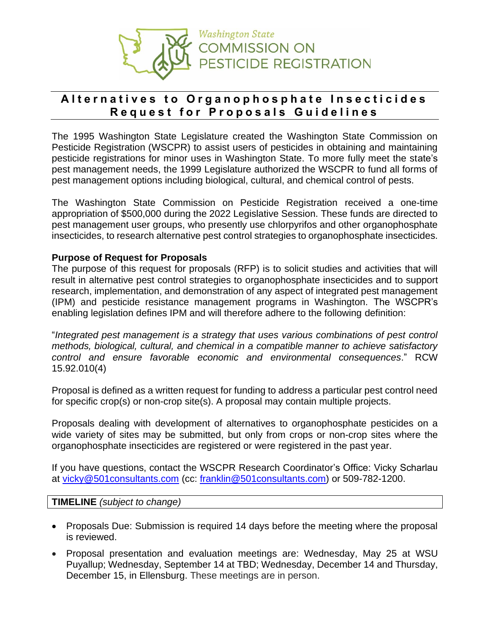

# Alternatives to Organophosphate Insecticides **R e q u e s t f o r P r o p o s a l s G u i d e l i n e s**

The 1995 Washington State Legislature created the Washington State Commission on Pesticide Registration (WSCPR) to assist users of pesticides in obtaining and maintaining pesticide registrations for minor uses in Washington State. To more fully meet the state's pest management needs, the 1999 Legislature authorized the WSCPR to fund all forms of pest management options including biological, cultural, and chemical control of pests.

The Washington State Commission on Pesticide Registration received a one-time appropriation of \$500,000 during the 2022 Legislative Session. These funds are directed to pest management user groups, who presently use chlorpyrifos and other organophosphate insecticides, to research alternative pest control strategies to organophosphate insecticides.

# **Purpose of Request for Proposals**

The purpose of this request for proposals (RFP) is to solicit studies and activities that will result in alternative pest control strategies to organophosphate insecticides and to support research, implementation, and demonstration of any aspect of integrated pest management (IPM) and pesticide resistance management programs in Washington. The WSCPR's enabling legislation defines IPM and will therefore adhere to the following definition:

"*Integrated pest management is a strategy that uses various combinations of pest control methods, biological, cultural, and chemical in a compatible manner to achieve satisfactory control and ensure favorable economic and environmental consequences*." RCW 15.92.010(4)

Proposal is defined as a written request for funding to address a particular pest control need for specific crop(s) or non-crop site(s). A proposal may contain multiple projects.

Proposals dealing with development of alternatives to organophosphate pesticides on a wide variety of sites may be submitted, but only from crops or non-crop sites where the organophosphate insecticides are registered or were registered in the past year.

If you have questions, contact the WSCPR Research Coordinator's Office: Vicky Scharlau at [vicky@501consultants.com](mailto:vicky@501consultants.com) (cc: [franklin@501consultants.com\)](mailto:franklin@501consultants.com) or 509-782-1200.

**TIMELINE** *(subject to change)*

- Proposals Due: Submission is required 14 days before the meeting where the proposal is reviewed.
- Proposal presentation and evaluation meetings are: Wednesday, May 25 at WSU Puyallup; Wednesday, September 14 at TBD; Wednesday, December 14 and Thursday, December 15, in Ellensburg. These meetings are in person.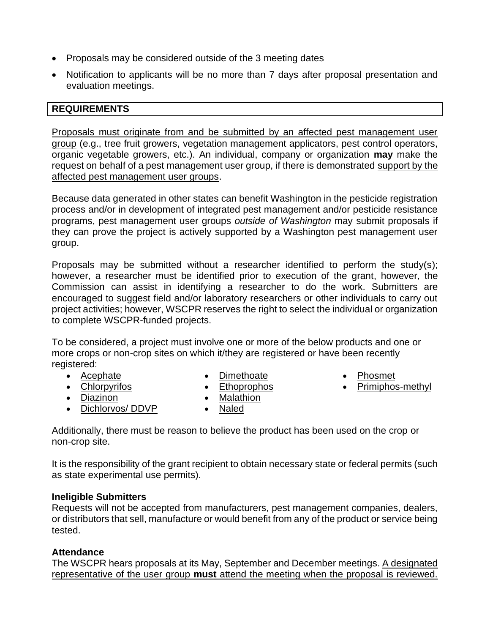- Proposals may be considered outside of the 3 meeting dates
- Notification to applicants will be no more than 7 days after proposal presentation and evaluation meetings.

#### **REQUIREMENTS**

Proposals must originate from and be submitted by an affected pest management user group (e.g., tree fruit growers, vegetation management applicators, pest control operators, organic vegetable growers, etc.). An individual, company or organization **may** make the request on behalf of a pest management user group, if there is demonstrated support by the affected pest management user groups.

Because data generated in other states can benefit Washington in the pesticide registration process and/or in development of integrated pest management and/or pesticide resistance programs, pest management user groups *outside of Washington* may submit proposals if they can prove the project is actively supported by a Washington pest management user group.

Proposals may be submitted without a researcher identified to perform the study(s); however, a researcher must be identified prior to execution of the grant, however, the Commission can assist in identifying a researcher to do the work. Submitters are encouraged to suggest field and/or laboratory researchers or other individuals to carry out project activities; however, WSCPR reserves the right to select the individual or organization to complete WSCPR-funded projects.

To be considered, a project must involve one or more of the below products and one or more crops or non-crop sites on which it/they are registered or have been recently registered:

- Acephate
- Chlorpyrifos
	-
- Diazinon
- Dichlorvos/ DDVP
- **Dimethoate** • Ethoprophos
- Malathion
- Naled
- Phosmet
- Primiphos-methyl

Additionally, there must be reason to believe the product has been used on the crop or non-crop site.

It is the responsibility of the grant recipient to obtain necessary state or federal permits (such as state experimental use permits).

#### **Ineligible Submitters**

Requests will not be accepted from manufacturers, pest management companies, dealers, or distributors that sell, manufacture or would benefit from any of the product or service being tested.

# **Attendance**

The WSCPR hears proposals at its May, September and December meetings. A designated representative of the user group **must** attend the meeting when the proposal is reviewed.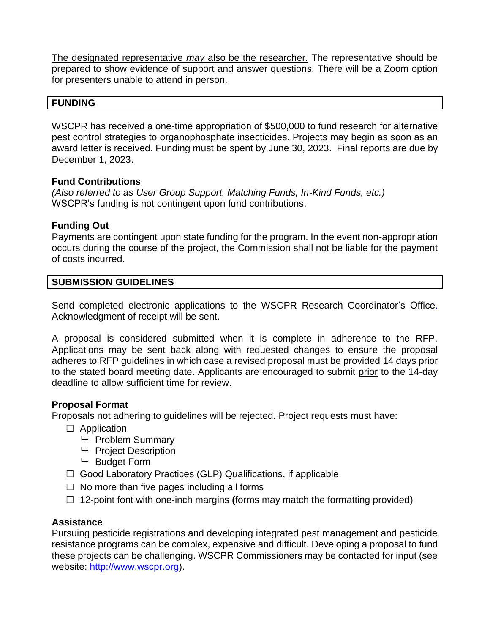The designated representative *may* also be the researcher. The representative should be prepared to show evidence of support and answer questions. There will be a Zoom option for presenters unable to attend in person.

#### **FUNDING**

WSCPR has received a one-time appropriation of \$500,000 to fund research for alternative pest control strategies to organophosphate insecticides. Projects may begin as soon as an award letter is received. Funding must be spent by June 30, 2023. Final reports are due by December 1, 2023.

#### **Fund Contributions**

*(Also referred to as User Group Support, Matching Funds, In-Kind Funds, etc.)* WSCPR's funding is not contingent upon fund contributions.

#### **Funding Out**

Payments are contingent upon state funding for the program. In the event non-appropriation occurs during the course of the project, the Commission shall not be liable for the payment of costs incurred.

#### **SUBMISSION GUIDELINES**

Send completed electronic applications to the WSCPR Research Coordinator's Office. Acknowledgment of receipt will be sent.

A proposal is considered submitted when it is complete in adherence to the RFP. Applications may be sent back along with requested changes to ensure the proposal adheres to RFP guidelines in which case a revised proposal must be provided 14 days prior to the stated board meeting date. Applicants are encouraged to submit prior to the 14-day deadline to allow sufficient time for review.

# **Proposal Format**

Proposals not adhering to guidelines will be rejected. Project requests must have:

- □ Application
	- $\mapsto$  Problem Summary
	- $\rightarrow$  Project Description
	- $\mapsto$  Budget Form
- ☐ Good Laboratory Practices (GLP) Qualifications, if applicable
- $\Box$  No more than five pages including all forms
- ☐ 12-point font with one-inch margins **(**forms may match the formatting provided)

# **Assistance**

Pursuing pesticide registrations and developing integrated pest management and pesticide resistance programs can be complex, expensive and difficult. Developing a proposal to fund these projects can be challenging. WSCPR Commissioners may be contacted for input (see website: [http://www.wscpr.org\)](http://www.wscpr.org/).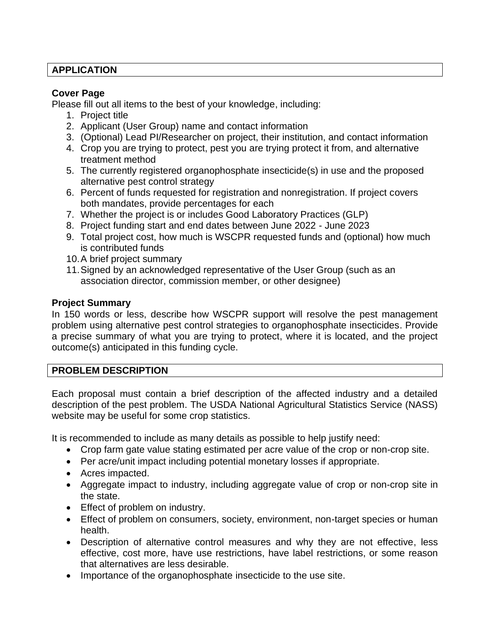# **APPLICATION**

#### **Cover Page**

Please fill out all items to the best of your knowledge, including:

- 1. Project title
- 2. Applicant (User Group) name and contact information
- 3. (Optional) Lead PI/Researcher on project, their institution, and contact information
- 4. Crop you are trying to protect, pest you are trying protect it from, and alternative treatment method
- 5. The currently registered organophosphate insecticide(s) in use and the proposed alternative pest control strategy
- 6. Percent of funds requested for registration and nonregistration. If project covers both mandates, provide percentages for each
- 7. Whether the project is or includes Good Laboratory Practices (GLP)
- 8. Project funding start and end dates between June 2022 June 2023
- 9. Total project cost, how much is WSCPR requested funds and (optional) how much is contributed funds
- 10.A brief project summary
- 11.Signed by an acknowledged representative of the User Group (such as an association director, commission member, or other designee)

# **Project Summary**

In 150 words or less, describe how WSCPR support will resolve the pest management problem using alternative pest control strategies to organophosphate insecticides. Provide a precise summary of what you are trying to protect, where it is located, and the project outcome(s) anticipated in this funding cycle.

# **PROBLEM DESCRIPTION**

Each proposal must contain a brief description of the affected industry and a detailed description of the pest problem. The USDA National Agricultural Statistics Service (NASS) website may be useful for some crop statistics.

It is recommended to include as many details as possible to help justify need:

- Crop farm gate value stating estimated per acre value of the crop or non-crop site.
- Per acre/unit impact including potential monetary losses if appropriate.
- Acres impacted.
- Aggregate impact to industry, including aggregate value of crop or non-crop site in the state.
- Effect of problem on industry.
- Effect of problem on consumers, society, environment, non-target species or human health.
- Description of alternative control measures and why they are not effective, less effective, cost more, have use restrictions, have label restrictions, or some reason that alternatives are less desirable.
- Importance of the organophosphate insecticide to the use site.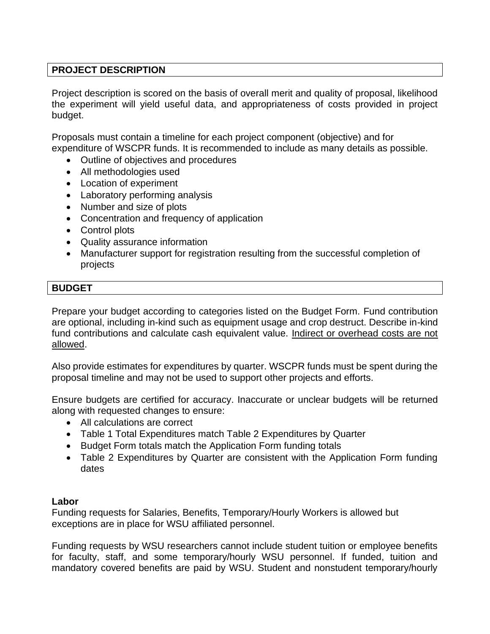# **PROJECT DESCRIPTION**

Project description is scored on the basis of overall merit and quality of proposal, likelihood the experiment will yield useful data, and appropriateness of costs provided in project budget.

Proposals must contain a timeline for each project component (objective) and for expenditure of WSCPR funds. It is recommended to include as many details as possible.

- Outline of objectives and procedures
- All methodologies used
- Location of experiment
- Laboratory performing analysis
- Number and size of plots
- Concentration and frequency of application
- Control plots
- Quality assurance information
- Manufacturer support for registration resulting from the successful completion of projects

# **BUDGET**

Prepare your budget according to categories listed on the Budget Form. Fund contribution are optional, including in-kind such as equipment usage and crop destruct. Describe in-kind fund contributions and calculate cash equivalent value. Indirect or overhead costs are not allowed.

Also provide estimates for expenditures by quarter. WSCPR funds must be spent during the proposal timeline and may not be used to support other projects and efforts.

Ensure budgets are certified for accuracy. Inaccurate or unclear budgets will be returned along with requested changes to ensure:

- All calculations are correct
- Table 1 Total Expenditures match Table 2 Expenditures by Quarter
- Budget Form totals match the Application Form funding totals
- Table 2 Expenditures by Quarter are consistent with the Application Form funding dates

# **Labor**

Funding requests for Salaries, Benefits, Temporary/Hourly Workers is allowed but exceptions are in place for WSU affiliated personnel.

Funding requests by WSU researchers cannot include student tuition or employee benefits for faculty, staff, and some temporary/hourly WSU personnel. If funded, tuition and mandatory covered benefits are paid by WSU. Student and nonstudent temporary/hourly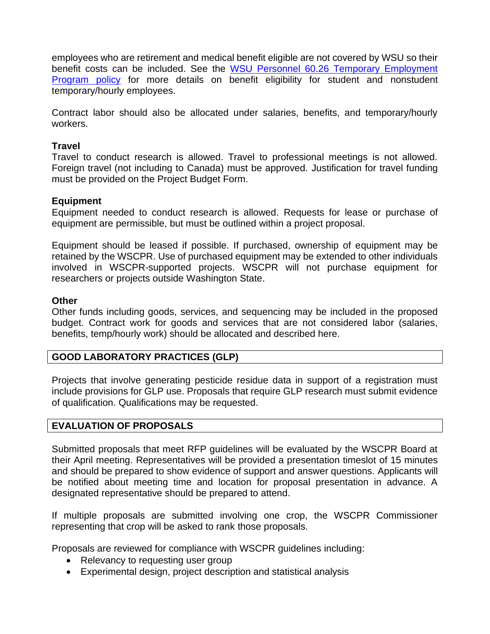employees who are retirement and medical benefit eligible are not covered by WSU so their benefit costs can be included. See the [WSU Personnel 60.26 Temporary Employment](https://policies.wsu.edu/prf/index/manuals/60-00-personnel/60-26-temporary-employment-program/)  [Program policy](https://policies.wsu.edu/prf/index/manuals/60-00-personnel/60-26-temporary-employment-program/) for more details on benefit eligibility for student and nonstudent temporary/hourly employees.

Contract labor should also be allocated under salaries, benefits, and temporary/hourly workers.

#### **Travel**

Travel to conduct research is allowed. Travel to professional meetings is not allowed. Foreign travel (not including to Canada) must be approved. Justification for travel funding must be provided on the Project Budget Form.

#### **Equipment**

Equipment needed to conduct research is allowed. Requests for lease or purchase of equipment are permissible, but must be outlined within a project proposal.

Equipment should be leased if possible. If purchased, ownership of equipment may be retained by the WSCPR. Use of purchased equipment may be extended to other individuals involved in WSCPR-supported projects. WSCPR will not purchase equipment for researchers or projects outside Washington State.

#### **Other**

Other funds including goods, services, and sequencing may be included in the proposed budget. Contract work for goods and services that are not considered labor (salaries, benefits, temp/hourly work) should be allocated and described here.

# **GOOD LABORATORY PRACTICES (GLP)**

Projects that involve generating pesticide residue data in support of a registration must include provisions for GLP use. Proposals that require GLP research must submit evidence of qualification. Qualifications may be requested.

# **EVALUATION OF PROPOSALS**

Submitted proposals that meet RFP guidelines will be evaluated by the WSCPR Board at their April meeting. Representatives will be provided a presentation timeslot of 15 minutes and should be prepared to show evidence of support and answer questions. Applicants will be notified about meeting time and location for proposal presentation in advance. A designated representative should be prepared to attend.

If multiple proposals are submitted involving one crop, the WSCPR Commissioner representing that crop will be asked to rank those proposals.

Proposals are reviewed for compliance with WSCPR guidelines including:

- Relevancy to requesting user group
- Experimental design, project description and statistical analysis